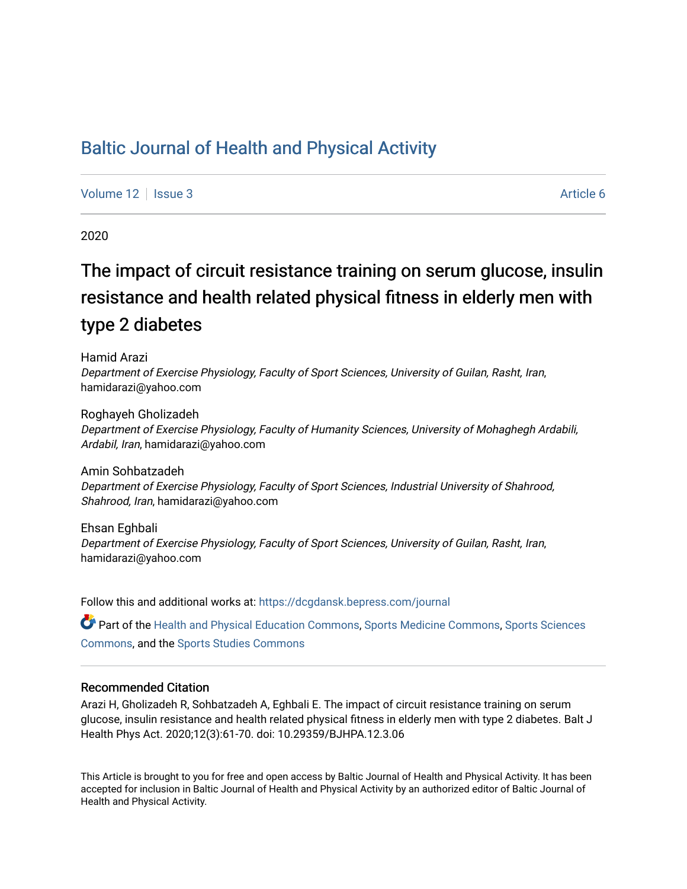## [Baltic Journal of Health and Physical Activity](https://dcgdansk.bepress.com/journal)

[Volume 12](https://dcgdansk.bepress.com/journal/vol12) | [Issue 3](https://dcgdansk.bepress.com/journal/vol12/iss3) Article 6

2020

# The impact of circuit resistance training on serum glucose, insulin resistance and health related physical fitness in elderly men with type 2 diabetes

Hamid Arazi Department of Exercise Physiology, Faculty of Sport Sciences, University of Guilan, Rasht, Iran, hamidarazi@yahoo.com

Roghayeh Gholizadeh Department of Exercise Physiology, Faculty of Humanity Sciences, University of Mohaghegh Ardabili, Ardabil, Iran, hamidarazi@yahoo.com

Amin Sohbatzadeh Department of Exercise Physiology, Faculty of Sport Sciences, Industrial University of Shahrood, Shahrood, Iran, hamidarazi@yahoo.com

Ehsan Eghbali Department of Exercise Physiology, Faculty of Sport Sciences, University of Guilan, Rasht, Iran, hamidarazi@yahoo.com

Follow this and additional works at: [https://dcgdansk.bepress.com/journal](https://dcgdansk.bepress.com/journal?utm_source=dcgdansk.bepress.com%2Fjournal%2Fvol12%2Fiss3%2F6&utm_medium=PDF&utm_campaign=PDFCoverPages)

Part of the [Health and Physical Education Commons](http://network.bepress.com/hgg/discipline/1327?utm_source=dcgdansk.bepress.com%2Fjournal%2Fvol12%2Fiss3%2F6&utm_medium=PDF&utm_campaign=PDFCoverPages), [Sports Medicine Commons,](http://network.bepress.com/hgg/discipline/1331?utm_source=dcgdansk.bepress.com%2Fjournal%2Fvol12%2Fiss3%2F6&utm_medium=PDF&utm_campaign=PDFCoverPages) [Sports Sciences](http://network.bepress.com/hgg/discipline/759?utm_source=dcgdansk.bepress.com%2Fjournal%2Fvol12%2Fiss3%2F6&utm_medium=PDF&utm_campaign=PDFCoverPages) [Commons](http://network.bepress.com/hgg/discipline/759?utm_source=dcgdansk.bepress.com%2Fjournal%2Fvol12%2Fiss3%2F6&utm_medium=PDF&utm_campaign=PDFCoverPages), and the [Sports Studies Commons](http://network.bepress.com/hgg/discipline/1198?utm_source=dcgdansk.bepress.com%2Fjournal%2Fvol12%2Fiss3%2F6&utm_medium=PDF&utm_campaign=PDFCoverPages) 

### Recommended Citation

Arazi H, Gholizadeh R, Sohbatzadeh A, Eghbali E. The impact of circuit resistance training on serum glucose, insulin resistance and health related physical fitness in elderly men with type 2 diabetes. Balt J Health Phys Act. 2020;12(3):61-70. doi: 10.29359/BJHPA.12.3.06

This Article is brought to you for free and open access by Baltic Journal of Health and Physical Activity. It has been accepted for inclusion in Baltic Journal of Health and Physical Activity by an authorized editor of Baltic Journal of Health and Physical Activity.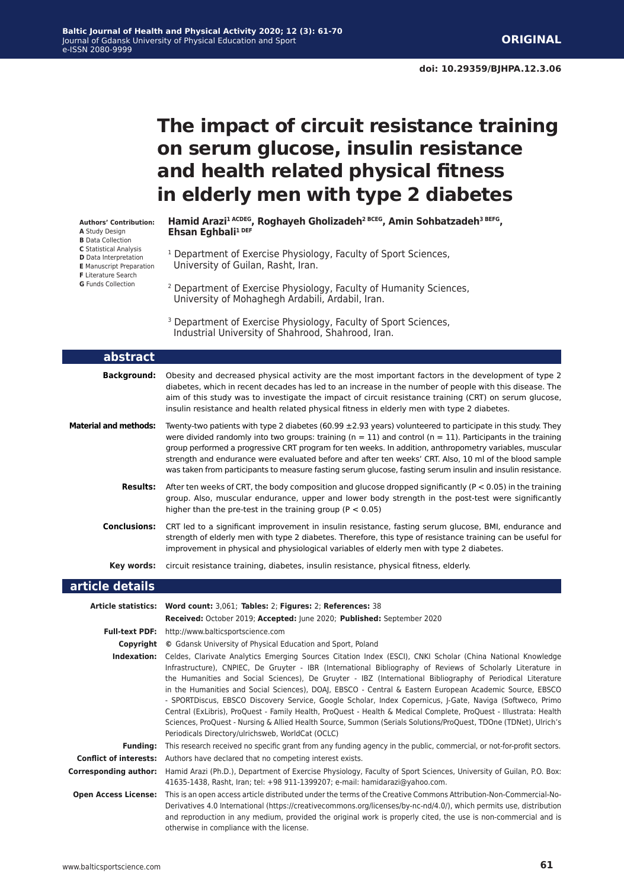## **The impact of circuit resistance training on serum glucose, insulin resistance and health related physical fitness in elderly men with type 2 diabetes**

**Authors' Contribution: A** Study Design

- **B** Data Collection
- **C** Statistical Analysis
- **D** Data Interpretation **E** Manuscript Preparation
- **F** Literature Search
- **G** Funds Collection

**Hamid Arazi1 ACDEG, Roghayeh Gholizadeh2 BCEG, Amin Sohbatzadeh3 BEFG, Ehsan Eghbali1 DEF** 

- <sup>1</sup> Department of Exercise Physiology, Faculty of Sport Sciences, University of Guilan, Rasht, Iran.
- 2 Department of Exercise Physiology, Faculty of Humanity Sciences, University of Mohaghegh Ardabili, Ardabil, Iran.
- <sup>3</sup> Department of Exercise Physiology, Faculty of Sport Sciences, Industrial University of Shahrood, Shahrood, Iran.

| abstract                                                    |                                                                                                                                                                                                                                                                                                                                                                                                                                                                                                                                                                                                                                                                                                                                                                                                                                                                           |
|-------------------------------------------------------------|---------------------------------------------------------------------------------------------------------------------------------------------------------------------------------------------------------------------------------------------------------------------------------------------------------------------------------------------------------------------------------------------------------------------------------------------------------------------------------------------------------------------------------------------------------------------------------------------------------------------------------------------------------------------------------------------------------------------------------------------------------------------------------------------------------------------------------------------------------------------------|
| <b>Background:</b>                                          | Obesity and decreased physical activity are the most important factors in the development of type 2<br>diabetes, which in recent decades has led to an increase in the number of people with this disease. The<br>aim of this study was to investigate the impact of circuit resistance training (CRT) on serum glucose,<br>insulin resistance and health related physical fitness in elderly men with type 2 diabetes.                                                                                                                                                                                                                                                                                                                                                                                                                                                   |
| <b>Material and methods:</b>                                | Twenty-two patients with type 2 diabetes (60.99 $\pm$ 2.93 years) volunteered to participate in this study. They<br>were divided randomly into two groups: training ( $n = 11$ ) and control ( $n = 11$ ). Participants in the training<br>group performed a progressive CRT program for ten weeks. In addition, anthropometry variables, muscular<br>strength and endurance were evaluated before and after ten weeks' CRT. Also, 10 ml of the blood sample<br>was taken from participants to measure fasting serum glucose, fasting serum insulin and insulin resistance.                                                                                                                                                                                                                                                                                               |
| Results:                                                    | After ten weeks of CRT, the body composition and glucose dropped significantly ( $P < 0.05$ ) in the training<br>group. Also, muscular endurance, upper and lower body strength in the post-test were significantly<br>higher than the pre-test in the training group ( $P < 0.05$ )                                                                                                                                                                                                                                                                                                                                                                                                                                                                                                                                                                                      |
| <b>Conclusions:</b>                                         | CRT led to a significant improvement in insulin resistance, fasting serum glucose, BMI, endurance and<br>strength of elderly men with type 2 diabetes. Therefore, this type of resistance training can be useful for<br>improvement in physical and physiological variables of elderly men with type 2 diabetes.                                                                                                                                                                                                                                                                                                                                                                                                                                                                                                                                                          |
| Key words:                                                  | circuit resistance training, diabetes, insulin resistance, physical fitness, elderly.                                                                                                                                                                                                                                                                                                                                                                                                                                                                                                                                                                                                                                                                                                                                                                                     |
| article details                                             |                                                                                                                                                                                                                                                                                                                                                                                                                                                                                                                                                                                                                                                                                                                                                                                                                                                                           |
|                                                             |                                                                                                                                                                                                                                                                                                                                                                                                                                                                                                                                                                                                                                                                                                                                                                                                                                                                           |
| <b>Article statistics:</b>                                  | Word count: 3,061; Tables: 2; Figures: 2; References: 38<br>Received: October 2019; Accepted: June 2020; Published: September 2020                                                                                                                                                                                                                                                                                                                                                                                                                                                                                                                                                                                                                                                                                                                                        |
|                                                             | Full-text PDF: http://www.balticsportscience.com                                                                                                                                                                                                                                                                                                                                                                                                                                                                                                                                                                                                                                                                                                                                                                                                                          |
|                                                             | Copyright © Gdansk University of Physical Education and Sport, Poland                                                                                                                                                                                                                                                                                                                                                                                                                                                                                                                                                                                                                                                                                                                                                                                                     |
|                                                             | Indexation: Celdes, Clarivate Analytics Emerging Sources Citation Index (ESCI), CNKI Scholar (China National Knowledge<br>Infrastructure), CNPIEC, De Gruyter - IBR (International Bibliography of Reviews of Scholarly Literature in<br>the Humanities and Social Sciences), De Gruyter - IBZ (International Bibliography of Periodical Literature<br>in the Humanities and Social Sciences), DOAJ, EBSCO - Central & Eastern European Academic Source, EBSCO<br>- SPORTDiscus, EBSCO Discovery Service, Google Scholar, Index Copernicus, J-Gate, Naviga (Softweco, Primo<br>Central (ExLibris), ProQuest - Family Health, ProQuest - Health & Medical Complete, ProQuest - Illustrata: Health<br>Sciences, ProQuest - Nursing & Allied Health Source, Summon (Serials Solutions/ProQuest, TDOne (TDNet), Ulrich's<br>Periodicals Directory/ulrichsweb, WorldCat (OCLC) |
| <b>Funding:</b>                                             | This research received no specific grant from any funding agency in the public, commercial, or not-for-profit sectors.                                                                                                                                                                                                                                                                                                                                                                                                                                                                                                                                                                                                                                                                                                                                                    |
| <b>Conflict of interests:</b>                               | Authors have declared that no competing interest exists.                                                                                                                                                                                                                                                                                                                                                                                                                                                                                                                                                                                                                                                                                                                                                                                                                  |
| <b>Corresponding author:</b><br><b>Open Access License:</b> | Hamid Arazi (Ph.D.), Department of Exercise Physiology, Faculty of Sport Sciences, University of Guilan, P.O. Box:<br>41635-1438, Rasht, Iran; tel: +98 911-1399207; e-mail: hamidarazi@yahoo.com.<br>This is an open access article distributed under the terms of the Creative Commons Attribution-Non-Commercial-No-                                                                                                                                                                                                                                                                                                                                                                                                                                                                                                                                                   |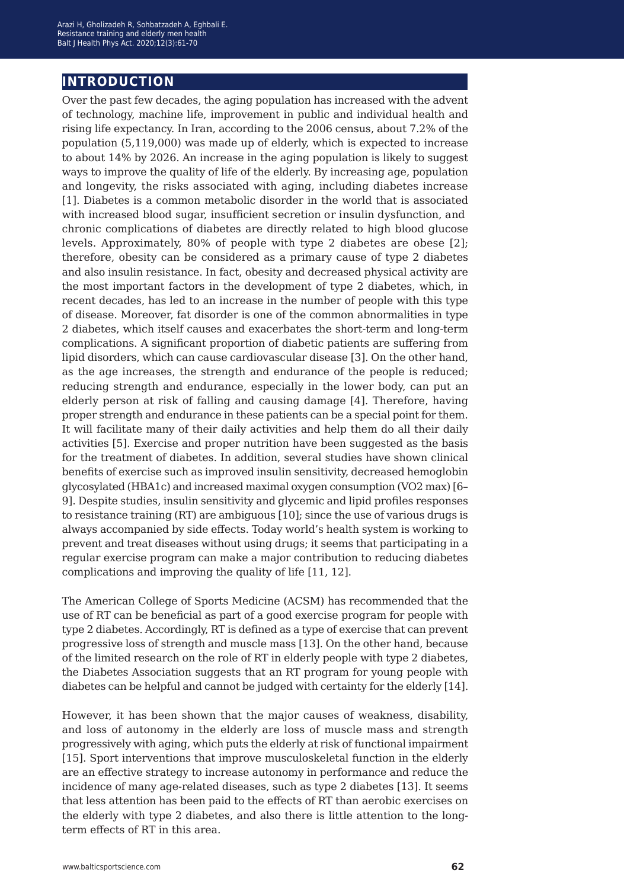## **introduction**

Over the past few decades, the aging population has increased with the advent of technology, machine life, improvement in public and individual health and rising life expectancy. In Iran, according to the 2006 census, about 7.2% of the population (5,119,000) was made up of elderly, which is expected to increase to about 14% by 2026. An increase in the aging population is likely to suggest ways to improve the quality of life of the elderly. By increasing age, population and longevity, the risks associated with aging, including diabetes increase [1]. Diabetes is a common metabolic disorder in the world that is associated with increased blood sugar, insufficient secretion or insulin dysfunction, and chronic complications of diabetes are directly related to high blood glucose levels. Approximately, 80% of people with type 2 diabetes are obese [2]; therefore, obesity can be considered as a primary cause of type 2 diabetes and also insulin resistance. In fact, obesity and decreased physical activity are the most important factors in the development of type 2 diabetes, which, in recent decades, has led to an increase in the number of people with this type of disease. Moreover, fat disorder is one of the common abnormalities in type 2 diabetes, which itself causes and exacerbates the short-term and long-term complications. A significant proportion of diabetic patients are suffering from lipid disorders, which can cause cardiovascular disease [3]. On the other hand, as the age increases, the strength and endurance of the people is reduced; reducing strength and endurance, especially in the lower body, can put an elderly person at risk of falling and causing damage [4]. Therefore, having proper strength and endurance in these patients can be a special point for them. It will facilitate many of their daily activities and help them do all their daily activities [5]. Exercise and proper nutrition have been suggested as the basis for the treatment of diabetes. In addition, several studies have shown clinical benefits of exercise such as improved insulin sensitivity, decreased hemoglobin glycosylated (HBA1c) and increased maximal oxygen consumption (VO2 max) [6– 9]. Despite studies, insulin sensitivity and glycemic and lipid profiles responses to resistance training (RT) are ambiguous [10]; since the use of various drugs is always accompanied by side effects. Today world's health system is working to prevent and treat diseases without using drugs; it seems that participating in a regular exercise program can make a major contribution to reducing diabetes complications and improving the quality of life [11, 12].

The American College of Sports Medicine (ACSM) has recommended that the use of RT can be beneficial as part of a good exercise program for people with type 2 diabetes. Accordingly, RT is defined as a type of exercise that can prevent progressive loss of strength and muscle mass [13]. On the other hand, because of the limited research on the role of RT in elderly people with type 2 diabetes, the Diabetes Association suggests that an RT program for young people with diabetes can be helpful and cannot be judged with certainty for the elderly [14].

However, it has been shown that the major causes of weakness, disability, and loss of autonomy in the elderly are loss of muscle mass and strength progressively with aging, which puts the elderly at risk of functional impairment [15]. Sport interventions that improve musculoskeletal function in the elderly are an effective strategy to increase autonomy in performance and reduce the incidence of many age-related diseases, such as type 2 diabetes [13]. It seems that less attention has been paid to the effects of RT than aerobic exercises on the elderly with type 2 diabetes, and also there is little attention to the longterm effects of RT in this area.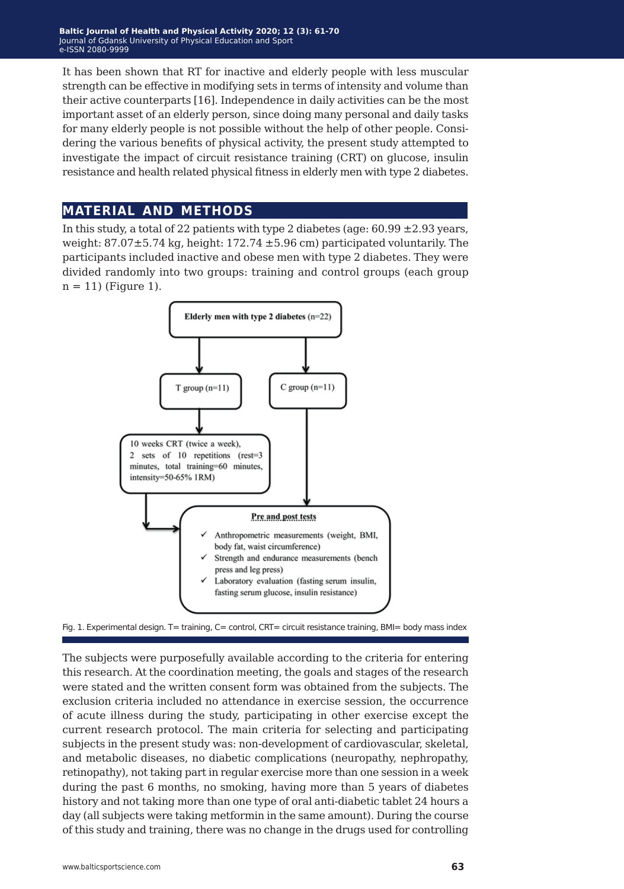It has been shown that RT for inactive and elderly people with less muscular strength can be effective in modifying sets in terms of intensity and volume than their active counterparts [16]. Independence in daily activities can be the most important asset of an elderly person, since doing many personal and daily tasks for many elderly people is not possible without the help of other people. Considering the various benefits of physical activity, the present study attempted to investigate the impact of circuit resistance training (CRT) on glucose, insulin resistance and health related physical fitness in elderly men with type 2 diabetes.

## **material and methods**

In this study, a total of 22 patients with type 2 diabetes (age:  $60.99 \pm 2.93$  years, weight:  $87.07 \pm 5.74$  kg, height:  $172.74 \pm 5.96$  cm) participated voluntarily. The participants included inactive and obese men with type 2 diabetes. They were divided randomly into two groups: training and control groups (each group  $n = 11$ ) (Figure 1).



Fig. 1. Experimental design. T= training, C= control, CRT= circuit resistance training, BMI= body mass index

The subjects were purposefully available according to the criteria for entering this research. At the coordination meeting, the goals and stages of the research were stated and the written consent form was obtained from the subjects. The exclusion criteria included no attendance in exercise session, the occurrence of acute illness during the study, participating in other exercise except the current research protocol. The main criteria for selecting and participating subjects in the present study was: non-development of cardiovascular, skeletal, and metabolic diseases, no diabetic complications (neuropathy, nephropathy, retinopathy), not taking part in regular exercise more than one session in a week during the past 6 months, no smoking, having more than 5 years of diabetes history and not taking more than one type of oral anti-diabetic tablet 24 hours a day (all subjects were taking metformin in the same amount). During the course of this study and training, there was no change in the drugs used for controlling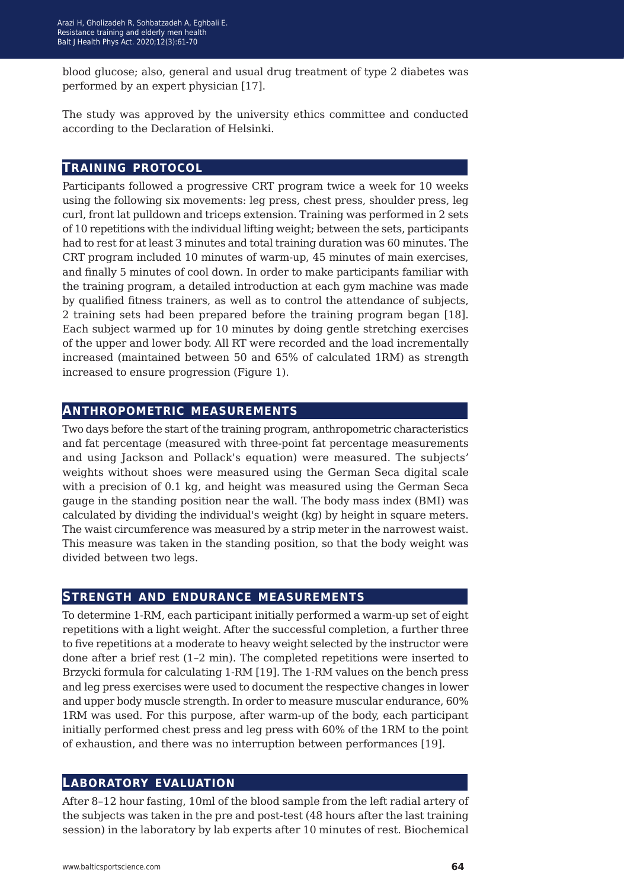blood glucose; also, general and usual drug treatment of type 2 diabetes was performed by an expert physician [17].

The study was approved by the university ethics committee and conducted according to the Declaration of Helsinki.

### **training protocol**

Participants followed a progressive CRT program twice a week for 10 weeks using the following six movements: leg press, chest press, shoulder press, leg curl, front lat pulldown and triceps extension. Training was performed in 2 sets of 10 repetitions with the individual lifting weight; between the sets, participants had to rest for at least 3 minutes and total training duration was 60 minutes. The CRT program included 10 minutes of warm-up, 45 minutes of main exercises, and finally 5 minutes of cool down. In order to make participants familiar with the training program, a detailed introduction at each gym machine was made by qualified fitness trainers, as well as to control the attendance of subjects, 2 training sets had been prepared before the training program began [18]. Each subject warmed up for 10 minutes by doing gentle stretching exercises of the upper and lower body. All RT were recorded and the load incrementally increased (maintained between 50 and 65% of calculated 1RM) as strength increased to ensure progression (Figure 1).

### **anthropometric measurements**

Two days before the start of the training program, anthropometric characteristics and fat percentage (measured with three-point fat percentage measurements and using Jackson and Pollack's equation) were measured. The subjects' weights without shoes were measured using the German Seca digital scale with a precision of 0.1 kg, and height was measured using the German Seca gauge in the standing position near the wall. The body mass index (BMI) was calculated by dividing the individual's weight (kg) by height in square meters. The waist circumference was measured by a strip meter in the narrowest waist. This measure was taken in the standing position, so that the body weight was divided between two legs.

### **strength and endurance measurements**

To determine 1-RM, each participant initially performed a warm-up set of eight repetitions with a light weight. After the successful completion, a further three to five repetitions at a moderate to heavy weight selected by the instructor were done after a brief rest (1–2 min). The completed repetitions were inserted to Brzycki formula for calculating 1-RM [19]. The 1-RM values on the bench press and leg press exercises were used to document the respective changes in lower and upper body muscle strength. In order to measure muscular endurance, 60% 1RM was used. For this purpose, after warm-up of the body, each participant initially performed chest press and leg press with 60% of the 1RM to the point of exhaustion, and there was no interruption between performances [19].

#### **laboratory evaluation**

After 8–12 hour fasting, 10ml of the blood sample from the left radial artery of the subjects was taken in the pre and post-test (48 hours after the last training session) in the laboratory by lab experts after 10 minutes of rest. Biochemical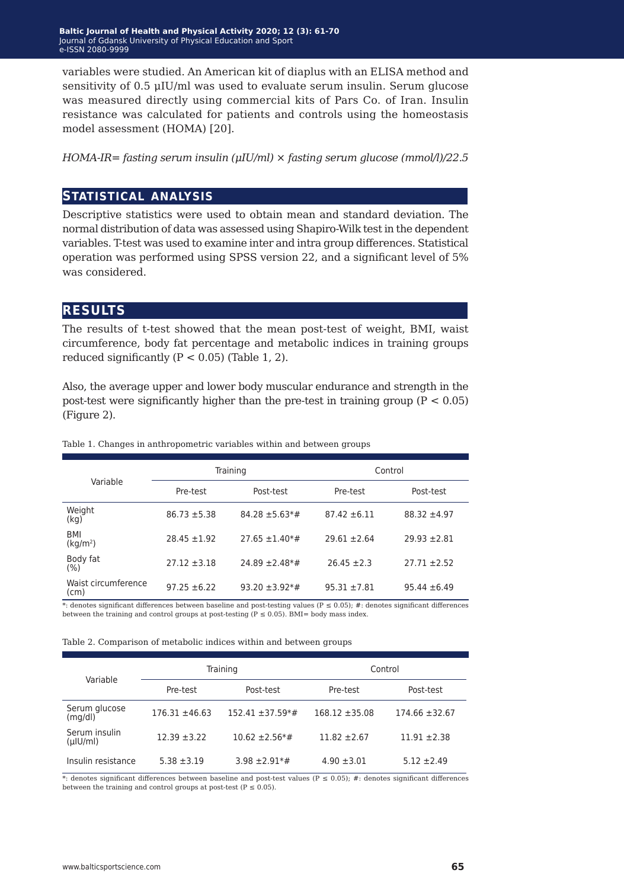variables were studied. An American kit of diaplus with an ELISA method and sensitivity of 0.5 μIU/ml was used to evaluate serum insulin. Serum glucose was measured directly using commercial kits of Pars Co. of Iran. Insulin resistance was calculated for patients and controls using the homeostasis model assessment (HOMA) [20].

*HOMA-IR= fasting serum insulin (μIU/ml) × fasting serum glucose (mmol/l)/22.5*

## **statistical analysis**

Descriptive statistics were used to obtain mean and standard deviation. The normal distribution of data was assessed using Shapiro-Wilk test in the dependent variables. T-test was used to examine inter and intra group differences. Statistical operation was performed using SPSS version 22, and a significant level of 5% was considered.

## **results**

The results of t-test showed that the mean post-test of weight, BMI, waist circumference, body fat percentage and metabolic indices in training groups reduced significantly  $(P < 0.05)$  (Table 1, 2).

Also, the average upper and lower body muscular endurance and strength in the post-test were significantly higher than the pre-test in training group  $(P < 0.05)$ (Figure 2).

Table 1. Changes in anthropometric variables within and between groups

|                                    |                  | Training                        | Control          |                  |  |
|------------------------------------|------------------|---------------------------------|------------------|------------------|--|
| Variable                           | Pre-test         | Post-test                       | Pre-test         | Post-test        |  |
| Weight<br>(kg)                     | $86.73 \pm 5.38$ | $84.28 \pm 5.63$ <sup>*</sup> # | $87.42 \pm 6.11$ | $88.32 \pm 4.97$ |  |
| <b>BMI</b><br>(kg/m <sup>2</sup> ) | $28.45 \pm 1.92$ | $27.65 \pm 1.40**$              | $29.61 \pm 2.64$ | $29.93 \pm 2.81$ |  |
| Body fat<br>(%)                    | $27.12 \pm 3.18$ | $24.89 \pm 2.48**$              | $26.45 \pm 2.3$  | $27.71 \pm 2.52$ |  |
| Waist circumference<br>(cm)        | $97.25 \pm 6.22$ | $93.20 \pm 3.92**$              | $95.31 \pm 7.81$ | $95.44 \pm 6.49$ |  |

\*: denotes significant differences between baseline and post-testing values (P ≤ 0.05); #: denotes significant differences between the training and control groups at post-testing  $(P \le 0.05)$ . BMI= body mass index.

|  | Table 2. Comparison of metabolic indices within and between groups |  |  |  |  |  |  |
|--|--------------------------------------------------------------------|--|--|--|--|--|--|
|--|--------------------------------------------------------------------|--|--|--|--|--|--|

| Variable                     | Training           |                                | Control            |                    |  |
|------------------------------|--------------------|--------------------------------|--------------------|--------------------|--|
|                              | Pre-test           | Post-test                      | Pre-test           | Post-test          |  |
| Serum glucose<br>(mq/dl)     | $176.31 \pm 46.63$ | $152.41 \pm 37.59**$           | $168.12 \pm 35.08$ | $174.66 \pm 32.67$ |  |
| Serum insulin<br>$($ µlU/ml) | $12.39 \pm 3.22$   | $10.62 \pm 2.56* \#$           | $11.82 \pm 2.67$   | $11.91 \pm 2.38$   |  |
| Insulin resistance           | $5.38 \pm 3.19$    | $3.98 \pm 2.91$ <sup>*</sup> # | $4.90 \pm 3.01$    | $5.12 \pm 2.49$    |  |

\*: denotes significant differences between baseline and post-test values (P ≤ 0.05); #: denotes significant differences between the training and control groups at post-test ( $P \le 0.05$ ).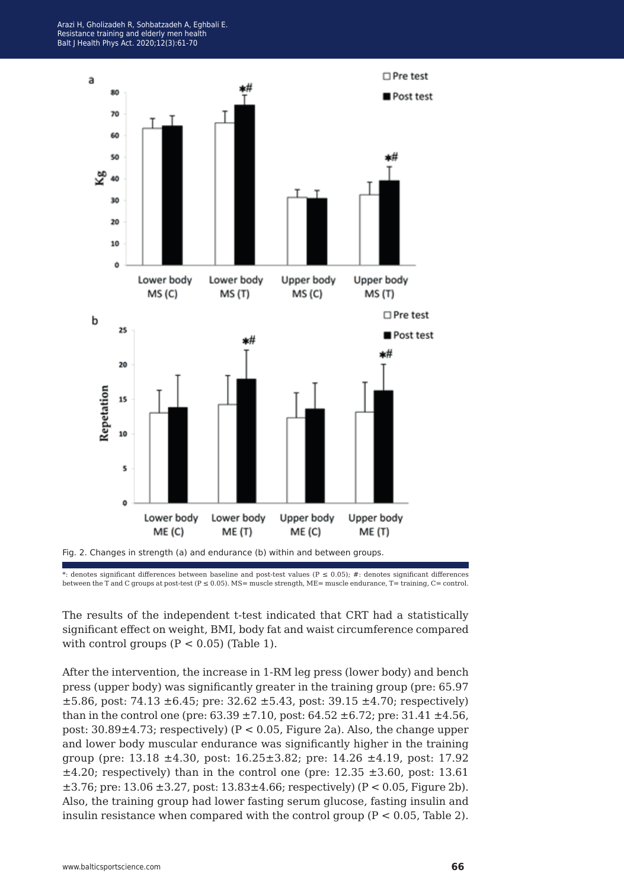



The results of the independent t-test indicated that CRT had a statistically significant effect on weight, BMI, body fat and waist circumference compared with control groups  $(P < 0.05)$  (Table 1).

After the intervention, the increase in 1-RM leg press (lower body) and bench press (upper body) was significantly greater in the training group (pre: 65.97  $\pm 5.86$ , post: 74.13  $\pm 6.45$ ; pre: 32.62  $\pm 5.43$ , post: 39.15  $\pm 4.70$ ; respectively) than in the control one (pre:  $63.39 \pm 7.10$ , post:  $64.52 \pm 6.72$ ; pre:  $31.41 \pm 4.56$ , post: 30.89±4.73; respectively) (P < 0.05, Figure 2a). Also, the change upper and lower body muscular endurance was significantly higher in the training group (pre:  $13.18 \pm 4.30$ , post:  $16.25 \pm 3.82$ ; pre:  $14.26 \pm 4.19$ , post:  $17.92$  $\pm 4.20$ ; respectively) than in the control one (pre: 12.35  $\pm 3.60$ , post: 13.61  $\pm 3.76$ ; pre: 13.06  $\pm 3.27$ , post: 13.83 $\pm 4.66$ ; respectively) (P < 0.05, Figure 2b). Also, the training group had lower fasting serum glucose, fasting insulin and insulin resistance when compared with the control group  $(P < 0.05$ , Table 2).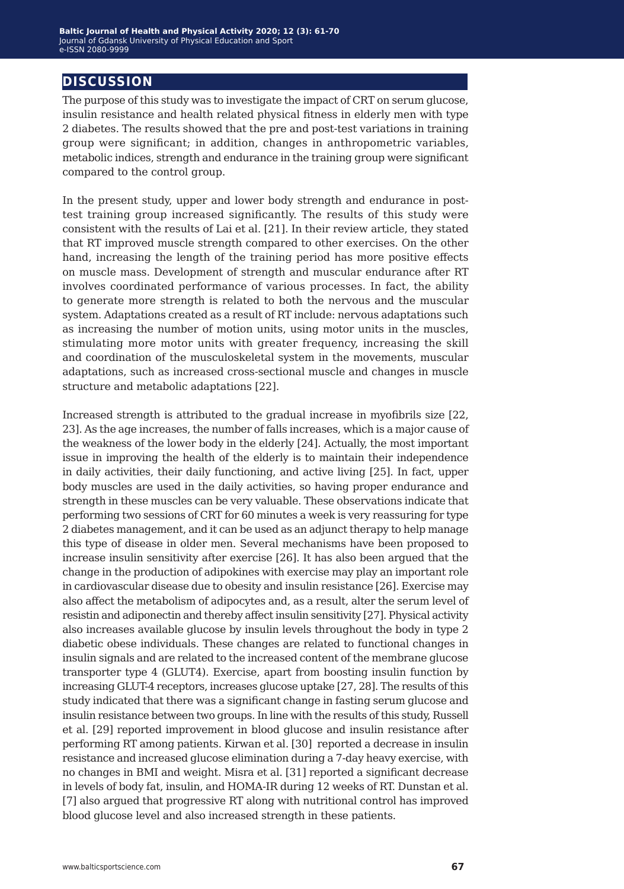## **discussion**

The purpose of this study was to investigate the impact of CRT on serum glucose, insulin resistance and health related physical fitness in elderly men with type 2 diabetes. The results showed that the pre and post-test variations in training group were significant; in addition, changes in anthropometric variables, metabolic indices, strength and endurance in the training group were significant compared to the control group.

In the present study, upper and lower body strength and endurance in posttest training group increased significantly. The results of this study were consistent with the results of Lai et al. [21]. In their review article, they stated that RT improved muscle strength compared to other exercises. On the other hand, increasing the length of the training period has more positive effects on muscle mass. Development of strength and muscular endurance after RT involves coordinated performance of various processes. In fact, the ability to generate more strength is related to both the nervous and the muscular system. Adaptations created as a result of RT include: nervous adaptations such as increasing the number of motion units, using motor units in the muscles, stimulating more motor units with greater frequency, increasing the skill and coordination of the musculoskeletal system in the movements, muscular adaptations, such as increased cross-sectional muscle and changes in muscle structure and metabolic adaptations [22].

Increased strength is attributed to the gradual increase in myofibrils size [22, 23]. As the age increases, the number of falls increases, which is a major cause of the weakness of the lower body in the elderly [24]. Actually, the most important issue in improving the health of the elderly is to maintain their independence in daily activities, their daily functioning, and active living [25]. In fact, upper body muscles are used in the daily activities, so having proper endurance and strength in these muscles can be very valuable. These observations indicate that performing two sessions of CRT for 60 minutes a week is very reassuring for type 2 diabetes management, and it can be used as an adjunct therapy to help manage this type of disease in older men. Several mechanisms have been proposed to increase insulin sensitivity after exercise [26]. It has also been argued that the change in the production of adipokines with exercise may play an important role in cardiovascular disease due to obesity and insulin resistance [26]. Exercise may also affect the metabolism of adipocytes and, as a result, alter the serum level of resistin and adiponectin and thereby affect insulin sensitivity [27]. Physical activity also increases available glucose by insulin levels throughout the body in type 2 diabetic obese individuals. These changes are related to functional changes in insulin signals and are related to the increased content of the membrane glucose transporter type 4 (GLUT4). Exercise, apart from boosting insulin function by increasing GLUT-4 receptors, increases glucose uptake [27, 28]. The results of this study indicated that there was a significant change in fasting serum glucose and insulin resistance between two groups. In line with the results of this study, Russell et al. [29] reported improvement in blood glucose and insulin resistance after performing RT among patients. Kirwan et al. [30] reported a decrease in insulin resistance and increased glucose elimination during a 7-day heavy exercise, with no changes in BMI and weight. Misra et al. [31] reported a significant decrease in levels of body fat, insulin, and HOMA-IR during 12 weeks of RT. Dunstan et al. [7] also argued that progressive RT along with nutritional control has improved blood glucose level and also increased strength in these patients.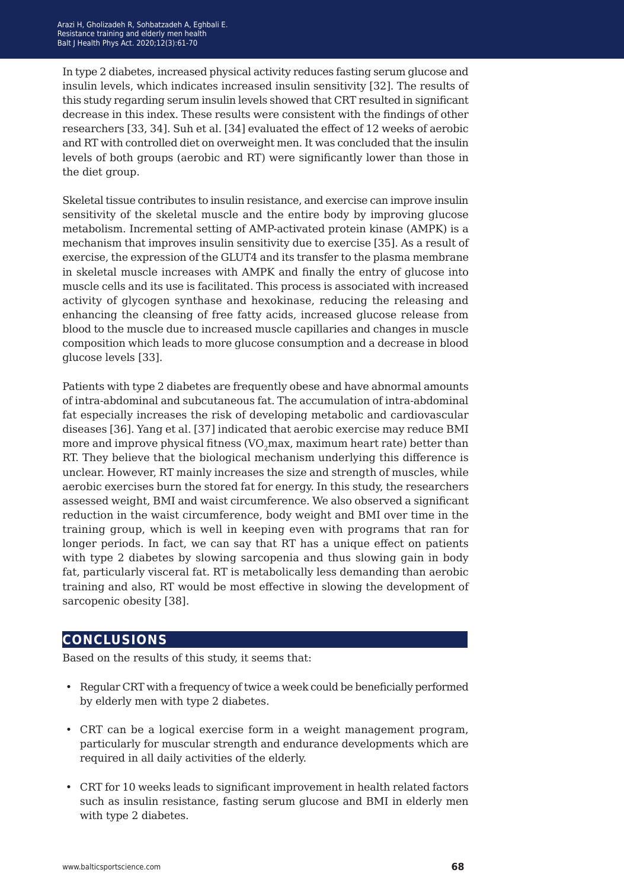In type 2 diabetes, increased physical activity reduces fasting serum glucose and insulin levels, which indicates increased insulin sensitivity [32]. The results of this study regarding serum insulin levels showed that CRT resulted in significant decrease in this index. These results were consistent with the findings of other researchers [33, 34]. Suh et al. [34] evaluated the effect of 12 weeks of aerobic and RT with controlled diet on overweight men. It was concluded that the insulin levels of both groups (aerobic and RT) were significantly lower than those in the diet group.

Skeletal tissue contributes to insulin resistance, and exercise can improve insulin sensitivity of the skeletal muscle and the entire body by improving glucose metabolism. Incremental setting of AMP-activated protein kinase (AMPK) is a mechanism that improves insulin sensitivity due to exercise [35]. As a result of exercise, the expression of the GLUT4 and its transfer to the plasma membrane in skeletal muscle increases with AMPK and finally the entry of glucose into muscle cells and its use is facilitated. This process is associated with increased activity of glycogen synthase and hexokinase, reducing the releasing and enhancing the cleansing of free fatty acids, increased glucose release from blood to the muscle due to increased muscle capillaries and changes in muscle composition which leads to more glucose consumption and a decrease in blood glucose levels [33].

Patients with type 2 diabetes are frequently obese and have abnormal amounts of intra-abdominal and subcutaneous fat. The accumulation of intra-abdominal fat especially increases the risk of developing metabolic and cardiovascular diseases [36]. Yang et al. [37] indicated that aerobic exercise may reduce BMI more and improve physical fitness (VO<sub>2</sub>max, maximum heart rate) better than RT. They believe that the biological mechanism underlying this difference is unclear. However, RT mainly increases the size and strength of muscles, while aerobic exercises burn the stored fat for energy. In this study, the researchers assessed weight, BMI and waist circumference. We also observed a significant reduction in the waist circumference, body weight and BMI over time in the training group, which is well in keeping even with programs that ran for longer periods. In fact, we can say that RT has a unique effect on patients with type 2 diabetes by slowing sarcopenia and thus slowing gain in body fat, particularly visceral fat. RT is metabolically less demanding than aerobic training and also, RT would be most effective in slowing the development of sarcopenic obesity [38].

## **conclusions**

Based on the results of this study, it seems that:

- Regular CRT with a frequency of twice a week could be beneficially performed by elderly men with type 2 diabetes.
- CRT can be a logical exercise form in a weight management program, particularly for muscular strength and endurance developments which are required in all daily activities of the elderly.
- CRT for 10 weeks leads to significant improvement in health related factors such as insulin resistance, fasting serum glucose and BMI in elderly men with type 2 diabetes.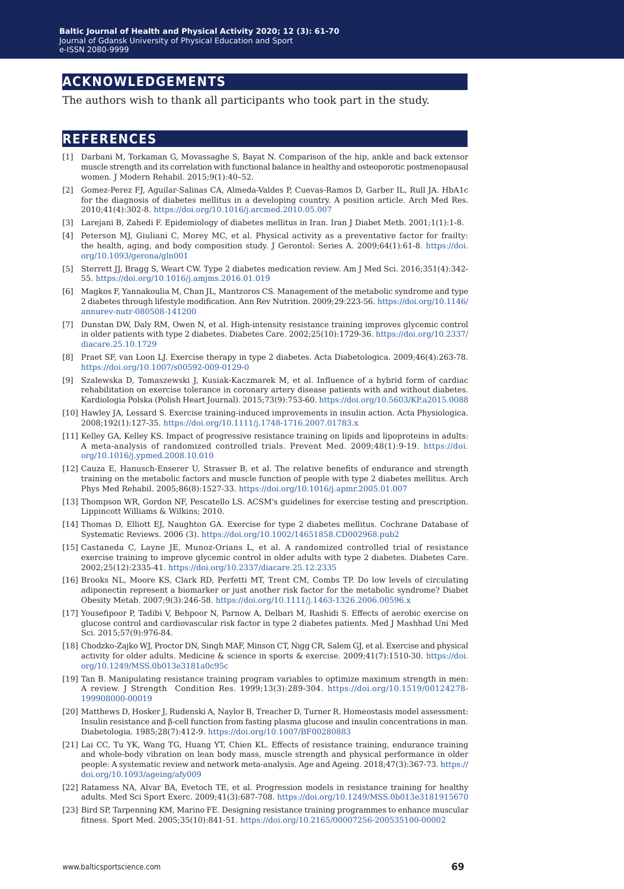## **acknowledgements**

The authors wish to thank all participants who took part in the study.

## **references**

- [1] Darbani M, Torkaman G, Movassaghe S, Bayat N. Comparison of the hip, ankle and back extensor muscle strength and its correlation with functional balance in healthy and osteoporotic postmenopausal women. J Modern Rehabil. 2015;9(1):40–52.
- [2] Gomez-Perez FJ, Aguilar-Salinas CA, Almeda-Valdes P, Cuevas-Ramos D, Garber IL, Rull JA. HbA1c for the diagnosis of diabetes mellitus in a developing country. A position article. Arch Med Res. 2010;41(4):302-8. <https://doi.org/10.1016/j.arcmed.2010.05.007>
- [3] Larejani B, Zahedi F. Epidemiology of diabetes mellitus in Iran. Iran J Diabet Metb. 2001;1(1):1-8.
- [4] Peterson MJ, Giuliani C, Morey MC, et al. Physical activity as a preventative factor for frailty: the health, aging, and body composition study. J Gerontol: Series A. 2009;64(1):61-8. [https://doi.](https://doi.org/10.1093/gerona/gln001) [org/10.1093/gerona/gln001](https://doi.org/10.1093/gerona/gln001)
- [5] Sterrett JJ, Bragg S, Weart CW. Type 2 diabetes medication review. Am J Med Sci. 2016;351(4):342- 55. <https://doi.org/10.1016/j.amjms.2016.01.019>
- [6] Magkos F, Yannakoulia M, Chan JL, Mantzoros CS. Management of the metabolic syndrome and type 2 diabetes through lifestyle modification. Ann Rev Nutrition. 2009;29:223-56. [https://doi.org/10.1146/](https://doi.org/10.1146/annurev-nutr-080508-141200
) [annurev-nutr-080508-141200](https://doi.org/10.1146/annurev-nutr-080508-141200
)
- [7] Dunstan DW, Daly RM, Owen N, et al. High-intensity resistance training improves glycemic control in older patients with type 2 diabetes. Diabetes Care. 2002;25(10):1729-36. [https://doi.org/10.2337/](https://doi.org/10.2337/diacare.25.10.1729) [diacare.25.10.1729](https://doi.org/10.2337/diacare.25.10.1729)
- [8] Praet SF, van Loon LJ. Exercise therapy in type 2 diabetes. Acta Diabetologica. 2009;46(4):263-78. <https://doi.org/10.1007/s00592-009-0129-0>
- [9] Szalewska D, Tomaszewski J, Kusiak-Kaczmarek M, et al. Influence of a hybrid form of cardiac rehabilitation on exercise tolerance in coronary artery disease patients with and without diabetes. Kardiologia Polska (Polish Heart Journal). 2015;73(9):753-60. <https://doi.org/10.5603/KP.a2015.0088>
- [10] Hawley JA, Lessard S. Exercise training‐induced improvements in insulin action. Acta Physiologica. 2008;192(1):127-35. <https://doi.org/10.1111/j.1748-1716.2007.01783.x>
- [11] Kelley GA, Kelley KS. Impact of progressive resistance training on lipids and lipoproteins in adults: A meta-analysis of randomized controlled trials. Prevent Med. 2009;48(1):9-19. [https://doi.](https://doi.org/10.1016/j.ypmed.2008.10.010) [org/10.1016/j.ypmed.2008.10.010](https://doi.org/10.1016/j.ypmed.2008.10.010)
- [12] Cauza E, Hanusch-Enserer U, Strasser B, et al. The relative benefits of endurance and strength training on the metabolic factors and muscle function of people with type 2 diabetes mellitus. Arch Phys Med Rehabil. 2005;86(8):1527-33. <https://doi.org/10.1016/j.apmr.2005.01.007>
- [13] Thompson WR, Gordon NF, Pescatello LS. ACSM's guidelines for exercise testing and prescription. Lippincott Williams & Wilkins; 2010.
- [14] Thomas D, Elliott EJ, Naughton GA. Exercise for type 2 diabetes mellitus. Cochrane Database of Systematic Reviews. 2006 (3). <https://doi.org/10.1002/14651858.CD002968.pub2>
- [15] Castaneda C, Layne JE, Munoz-Orians L, et al. A randomized controlled trial of resistance exercise training to improve glycemic control in older adults with type 2 diabetes. Diabetes Care. 2002;25(12):2335-41. <https://doi.org/10.2337/diacare.25.12.2335>
- [16] Brooks NL, Moore KS, Clark RD, Perfetti MT, Trent CM, Combs TP. Do low levels of circulating adiponectin represent a biomarker or just another risk factor for the metabolic syndrome? Diabet Obesity Metab. 2007;9(3):246-58. <https://doi.org/10.1111/j.1463-1326.2006.00596.x>
- [17] Yousefipoor P, Tadibi V, Behpoor N, Parnow A, Delbari M, Rashidi S. Effects of aerobic exercise on glucose control and cardiovascular risk factor in type 2 diabetes patients. Med J Mashhad Uni Med Sci. 2015;57(9):976-84.
- [18] Chodzko-Zajko WJ, Proctor DN, Singh MAF, Minson CT, Nigg CR, Salem GJ, et al. Exercise and physical activity for older adults. Medicine & science in sports & exercise. 2009;41(7):1510-30. [https://doi.](https://doi.org/10.1249/MSS.0b013e3181a0c95c) [org/10.1249/MSS.0b013e3181a0c95c](https://doi.org/10.1249/MSS.0b013e3181a0c95c)
- [19] Tan B. Manipulating resistance training program variables to optimize maximum strength in men: A review. J Strength Condition Res. 1999;13(3):289-304. [https://doi.org/10.1519/00124278-](https://doi.org/10.1519/00124278-199908000-00019
) [199908000-00019](https://doi.org/10.1519/00124278-199908000-00019
)
- [20] Matthews D, Hosker J, Rudenski A, Naylor B, Treacher D, Turner R. Homeostasis model assessment: Insulin resistance and β-cell function from fasting plasma glucose and insulin concentrations in man. Diabetologia. 1985;28(7):412-9. <https://doi.org/10.1007/BF00280883>
- [21] Lai CC, Tu YK, Wang TG, Huang YT, Chien KL. Effects of resistance training, endurance training and whole-body vibration on lean body mass, muscle strength and physical performance in older people: A systematic review and network meta-analysis. Age and Ageing. 2018;47(3):367-73. [https://](https://doi.org/10.1093/ageing/afy009) [doi.org/10.1093/ageing/afy009](https://doi.org/10.1093/ageing/afy009)
- [22] Ratamess NA, Alvar BA, Evetoch TE, et al. Progression models in resistance training for healthy adults. Med Sci Sport Exerc. 2009;41(3):687-708. <https://doi.org/10.1249/MSS.0b013e3181915670>
- [23] Bird SP, Tarpenning KM, Marino FE. Designing resistance training programmes to enhance muscular fitness. Sport Med. 2005;35(10):841-51. https://doi.org/10.2165/00007256-200535100-00002